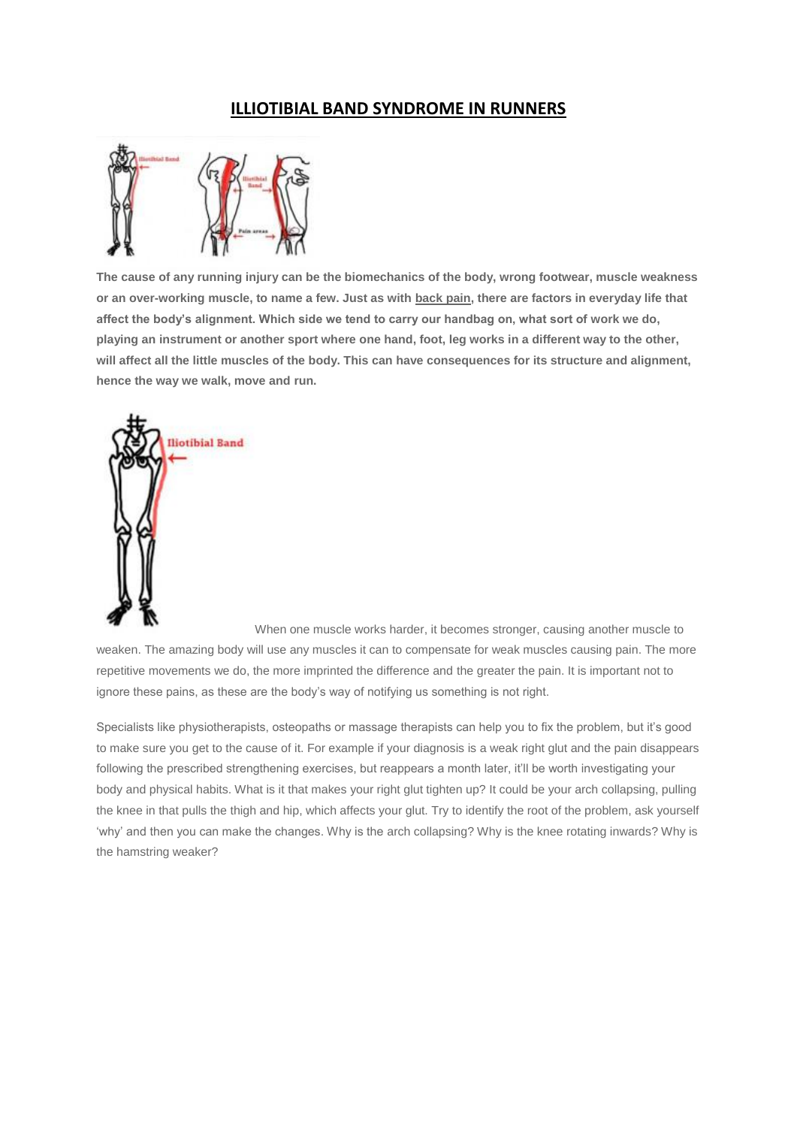# **ILLIOTIBIAL BAND SYNDROME IN RUNNERS**



**The cause of any running injury can be the biomechanics of the body, wrong footwear, muscle weakness or an over-working muscle, to name a few. Just as with [back pain,](http://run.runandbecome.com/running-health-advice/injuries/back-pain-in-runners/) there are factors in everyday life that affect the body's alignment. Which side we tend to carry our handbag on, what sort of work we do, playing an instrument or another sport where one hand, foot, leg works in a different way to the other, will affect all the little muscles of the body. This can have consequences for its structure and alignment, hence the way we walk, move and run.**



When one muscle works harder, it becomes stronger, causing another muscle to weaken. The amazing body will use any muscles it can to compensate for weak muscles causing pain. The more repetitive movements we do, the more imprinted the difference and the greater the pain. It is important not to ignore these pains, as these are the body's way of notifying us something is not right.

Specialists like physiotherapists, osteopaths or massage therapists can help you to fix the problem, but it's good to make sure you get to the cause of it. For example if your diagnosis is a weak right glut and the pain disappears following the prescribed strengthening exercises, but reappears a month later, it'll be worth investigating your body and physical habits. What is it that makes your right glut tighten up? It could be your arch collapsing, pulling the knee in that pulls the thigh and hip, which affects your glut. Try to identify the root of the problem, ask yourself 'why' and then you can make the changes. Why is the arch collapsing? Why is the knee rotating inwards? Why is the hamstring weaker?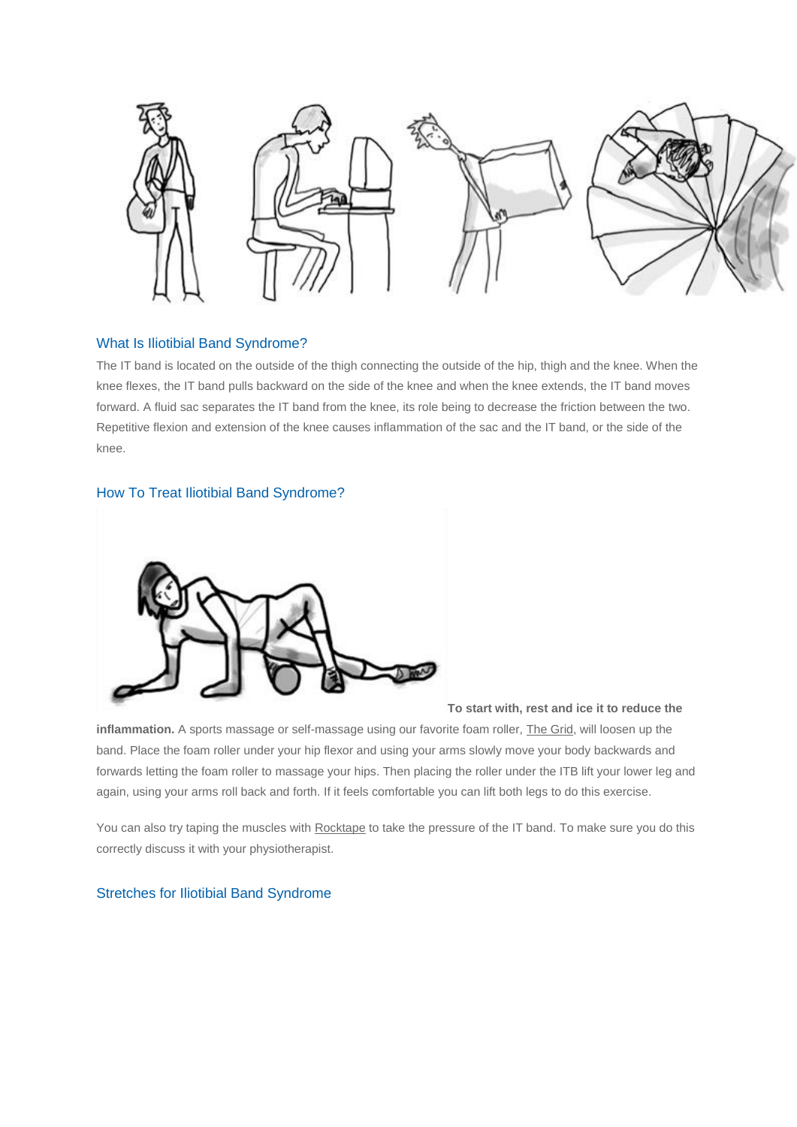

## What Is Iliotibial Band Syndrome?

The IT band is located on the outside of the thigh connecting the outside of the hip, thigh and the knee. When the knee flexes, the IT band pulls backward on the side of the knee and when the knee extends, the IT band moves forward. A fluid sac separates the IT band from the knee, its role being to decrease the friction between the two. Repetitive flexion and extension of the knee causes inflammation of the sac and the IT band, or the side of the knee.

## How To Treat Iliotibial Band Syndrome?



#### **To start with, rest and ice it to reduce the**

**inflammation.** A sports massage or self-massage using our favorite foam roller, [The Grid,](http://www.runandbecome.com/Shop-Online/Accessories/Extras/miscellaneous/The-Grid) will loosen up the band. Place the foam roller under your hip flexor and using your arms slowly move your body backwards and forwards letting the foam roller to massage your hips. Then placing the roller under the ITB lift your lower leg and again, using your arms roll back and forth. If it feels comfortable you can lift both legs to do this exercise.

You can also try taping the muscles with [Rocktape](http://www.runandbecome.com/Shop-Online/Accessories/Extras/Supports/Rock-Tape) to take the pressure of the IT band. To make sure you do this correctly discuss it with your physiotherapist.

# Stretches for Iliotibial Band Syndrome